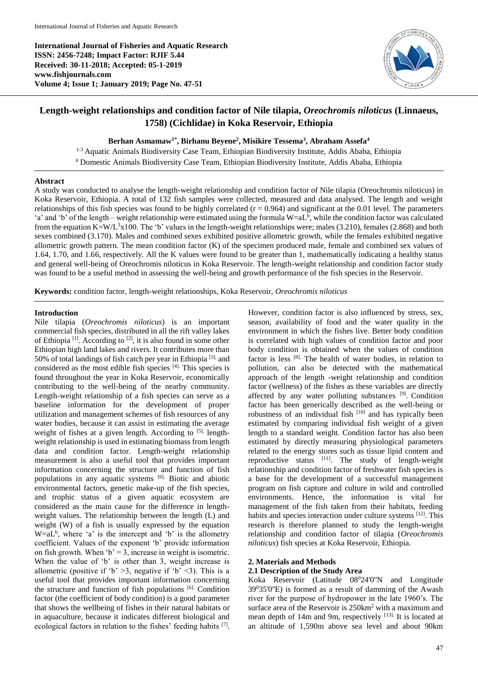**International Journal of Fisheries and Aquatic Research ISSN: 2456-7248; Impact Factor: RJIF 5.44 Received: 30-11-2018; Accepted: 05-1-2019 www.fishjournals.com Volume 4; Issue 1; January 2019; Page No. 47-51**



# **Length-weight relationships and condition factor of Nile tilapia,** *Oreochromis niloticus* **(Linnaeus, 1758) (Cichlidae) in Koka Reservoir, Ethiopia**

**Berhan Asmamaw1\* , Birhanu Beyene<sup>2</sup> , Misikire Tessema<sup>3</sup> , Abraham Assefa<sup>4</sup>**

<sup>1-3</sup> Aquatic Animals Biodiversity Case Team, Ethiopian Biodiversity Institute, Addis Ababa, Ethiopia <sup>4</sup> Domestic Animals Biodiversity Case Team, Ethiopian Biodiversity Institute, Addis Ababa, Ethiopia

## **Abstract**

A study was conducted to analyse the length-weight relationship and condition factor of Nile tilapia (Oreochromis niloticus) in Koka Reservoir, Ethiopia. A total of 132 fish samples were collected, measured and data analysed. The length and weight relationships of this fish species was found to be highly correlated  $(r = 0.964)$  and significant at the 0.01 level. The parameters 'a' and 'b' of the length – weight relationship were estimated using the formula  $W=aL<sup>b</sup>$ , while the condition factor was calculated from the equation K=W/L<sup>3</sup>x100. The 'b' values in the length-weight relationships were; males (3.210), females (2.868) and both sexes combined (3.170). Males and combined sexes exhibited positive allometric growth, while the females exhibited negative allometric growth pattern. The mean condition factor (K) of the specimen produced male, female and combined sex values of 1.64, 1.70, and 1.66, respectively. All the K values were found to be greater than 1, mathematically indicating a healthy status and general well-being of Oreochromis niloticus in Koka Reservoir. The length-weight relationship and condition factor study was found to be a useful method in assessing the well-being and growth performance of the fish species in the Reservoir.

**Keywords:** condition factor, length-weight relationships, Koka Reservoir, *Oreochromis niloticus*

# **Introduction**

Nile tilapia (*Oreochromis niloticus*) is an important commercial fish species, distributed in all the rift valley lakes of Ethiopia  $[1]$ . According to  $[2]$ , it is also found in some other Ethiopian high land lakes and rivers. It contributes more than 50% of total landings of fish catch per year in Ethiopia [3], and considered as the most edible fish species [4]. This species is found throughout the year in Koka Reservoir, economically contributing to the well-being of the nearby community. Length-weight relationship of a fish species can serve as a baseline information for the development of proper utilization and management schemes of fish resources of any water bodies, because it can assist in estimating the average weight of fishes at a given length. According to [5], lengthweight relationship is used in estimating biomass from length data and condition factor. Length-weight relationship measurement is also a useful tool that provides important information concerning the structure and function of fish populations in any aquatic systems [6]. Biotic and abiotic environmental factors, genetic make-up of the fish species, and trophic status of a given aquatic ecosystem are considered as the main cause for the difference in lengthweight values. The relationship between the length (L) and weight (W) of a fish is usually expressed by the equation  $W=aL<sup>b</sup>$ , where 'a' is the intercept and 'b' is the allometry coefficient. Values of the exponent 'b' provide information on fish growth. When  $b' = 3$ , increase in weight is isometric. When the value of 'b' is other than 3, weight increase is allometric (positive if 'b'  $>3$ , negative if 'b'  $<3$ ). This is a useful tool that provides important information concerning the structure and function of fish populations  $[6]$ . Condition factor (the coefficient of body condition) is a good parameter that shows the wellbeing of fishes in their natural habitats or in aquaculture, because it indicates different biological and ecological factors in relation to the fishes' feeding habits [7]. However, condition factor is also influenced by stress, sex, season, availability of food and the water quality in the environment in which the fishes live. Better body condition is correlated with high values of condition factor and poor body condition is obtained when the values of condition factor is less [8]. The health of water bodies, in relation to pollution, can also be detected with the mathematical approach of the length -weight relationship and condition factor (wellness) of the fishes as these variables are directly affected by any water polluting substances [9] . Condition factor has been generically described as the well-being or robustness of an individual fish  $[10]$  and has typically been estimated by comparing individual fish weight of a given length to a standard weight. Condition factor has also been estimated by directly measuring physiological parameters related to the energy stores such as tissue lipid content and reproductive status [11]. The study of length-weight relationship and condition factor of freshwater fish species is a base for the development of a successful management program on fish capture and culture in wild and controlled environments. Hence, the information is vital for management of the fish taken from their habitats, feeding habits and species interaction under culture systems [12]. This research is therefore planned to study the length-weight relationship and condition factor of tilapia (*Oreochromis niloticus*) fish species at Koka Reservoir, Ethiopia.

# **2. Materials and Methods**

# **2.1 Description of the Study Area**

Koka Reservoir (Latitude 08<sup>0</sup>24'0"N and Longitude  $39^035'0''E$ ) is formed as a result of damming of the Awash river for the purpose of hydropower in the late 1960's. The surface area of the Reservoir is 250km<sup>2</sup> with a maximum and mean depth of 14m and 9m, respectively [13]. It is located at an altitude of 1,590m above sea level and about 90km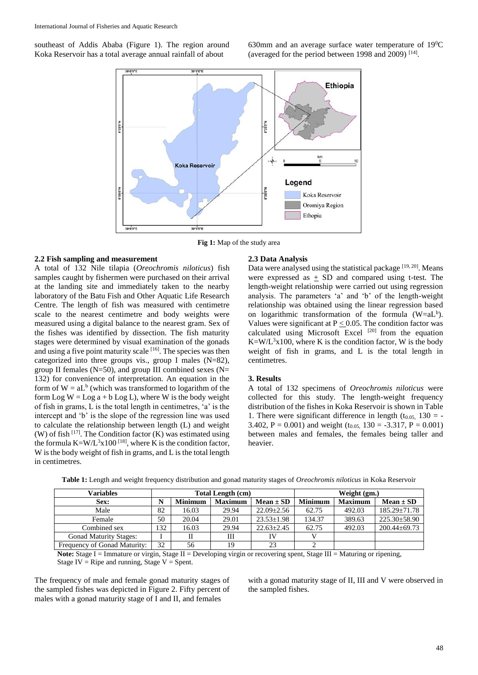southeast of Addis Ababa (Figure 1). The region around Koka Reservoir has a total average annual rainfall of about

630mm and an average surface water temperature of  $19^{0}C$ (averaged for the period between 1998 and 2009)  $^{[14]}$ .



**Fig 1:** Map of the study area

# **2.2 Fish sampling and measurement**

A total of 132 Nile tilapia (*Oreochromis niloticus*) fish samples caught by fishermen were purchased on their arrival at the landing site and immediately taken to the nearby laboratory of the Batu Fish and Other Aquatic Life Research Centre. The length of fish was measured with centimetre scale to the nearest centimetre and body weights were measured using a digital balance to the nearest gram. Sex of the fishes was identified by dissection. The fish maturity stages were determined by visual examination of the gonads and using a five point maturity scale [16]. The species was then categorized into three groups vis., group I males (N=82), group II females (N=50), and group III combined sexes (N= 132) for convenience of interpretation. An equation in the form of  $W = aL<sup>b</sup>$  (which was transformed to logarithm of the form  $Log W = Log a + b Log L$ , where W is the body weight of fish in grams, L is the total length in centimetres, 'a' is the intercept and 'b' is the slope of the regression line was used to calculate the relationship between length (L) and weight (W) of fish  $[17]$ . The Condition factor (K) was estimated using the formula  $K= W/L^3x100$  <sup>[18]</sup>, where K is the condition factor, W is the body weight of fish in grams, and L is the total length in centimetres.

### **2.3 Data Analysis**

Data were analysed using the statistical package [19, 20]. Means were expressed as  $\pm$  SD and compared using t-test. The length-weight relationship were carried out using regression analysis. The parameters 'a' and 'b' of the length-weight relationship was obtained using the linear regression based on logarithmic transformation of the formula  $(W=aL<sup>b</sup>)$ . Values were significant at  $P \le 0.05$ . The condition factor was calculated using Microsoft Excel  $[20]$  from the equation  $K=W/L<sup>3</sup>x100$ , where K is the condition factor, W is the body weight of fish in grams, and L is the total length in centimetres.

#### **3. Results**

A total of 132 specimens of *Oreochromis niloticus* were collected for this study. The length-weight frequency distribution of the fishes in Koka Reservoir is shown in Table 1. There were significant difference in length ( $t_{0.05}$ , 130 = -3.402, P = 0.001) and weight  $(t_{0.05}, 130 = -3.317, P = 0.001)$ between males and females, the females being taller and heavier.

| Variables                     | <b>Total Length (cm)</b> |                |                | Weight (gm.)     |                |                |                    |
|-------------------------------|--------------------------|----------------|----------------|------------------|----------------|----------------|--------------------|
| Sex:                          |                          | <b>Minimum</b> | <b>Maximum</b> | $Mean \pm SD$    | <b>Minimum</b> | <b>Maximum</b> | $Mean \pm SD$      |
| Male                          | 82                       | 16.03          | 29.94          | $22.09 \pm 2.56$ | 62.75          | 492.03         | $185.29 \pm 71.78$ |
| Female                        | 50                       | 20.04          | 29.01          | $23.53 \pm 1.98$ | 134.37         | 389.63         | $225.30 \pm 58.90$ |
| Combined sex                  | 132                      | 16.03          | 29.94          | $22.63 + 2.45$   | 62.75          | 492.03         | $200.44 \pm 69.73$ |
| <b>Gonad Maturity Stages:</b> |                          |                | Ш              | IV               |                |                |                    |
| Frequency of Gonad Maturity:  | 32                       | 56             | 19             | 23               |                |                |                    |

**Table 1:** Length and weight frequency distribution and gonad maturity stages of *Oreochromis niloticus* in Koka Reservoir

Note: Stage I = Immature or virgin, Stage II = Developing virgin or recovering spent, Stage III = Maturing or ripening, Stage IV = Ripe and running, Stage  $V =$  Spent.

The frequency of male and female gonad maturity stages of the sampled fishes was depicted in Figure 2. Fifty percent of males with a gonad maturity stage of I and II, and females

with a gonad maturity stage of II, III and V were observed in the sampled fishes.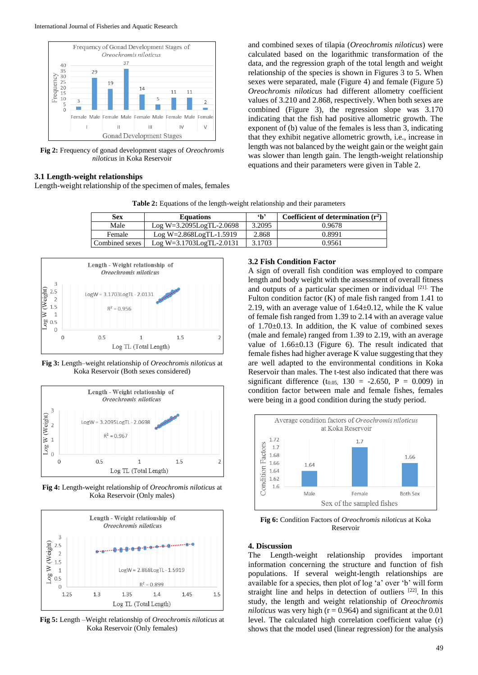

**Fig 2:** Frequency of gonad development stages of *Oreochromis niloticus* in Koka Reservoir

# **3.1 Length-weight relationships**

Length-weight relationship of the specimen of males, females

and combined sexes of tilapia (*Oreochromis niloticus*) were calculated based on the logarithmic transformation of the data, and the regression graph of the total length and weight relationship of the species is shown in Figures 3 to 5. When sexes were separated, male (Figure 4) and female (Figure 5) *Oreochromis niloticus* had different allometry coefficient values of 3.210 and 2.868, respectively. When both sexes are combined (Figure 3), the regression slope was 3.170 indicating that the fish had positive allometric growth. The exponent of (b) value of the females is less than 3, indicating that they exhibit negative allometric growth, i.e., increase in length was not balanced by the weight gain or the weight gain was slower than length gain. The length-weight relationship equations and their parameters were given in Table 2.

| Sex            | <b>Equations</b>              | $\mathbf{h}$ | Coefficient of determination $(r^2)$ |
|----------------|-------------------------------|--------------|--------------------------------------|
| Male           | Log W=3.2095LogTL-2.0698      | 3.2095       | 0.9678                               |
| Female         | $Log W=2.868LogTL-1.5919$     | 2.868        | 0.8991                               |
| Combined sexes | $Log W = 3.1703Log TL-2.0131$ | 3.1703       | 0.9561                               |

**Table 2:** Equations of the length-weight relationship and their parameters



**Fig 3:** Length–weight relationship of *Oreochromis niloticus* at Koka Reservoir (Both sexes considered)



**Fig 4:** Length-weight relationship of *Oreochromis niloticus* at Koka Reservoir (Only males)



**Fig 5:** Length –Weight relationship of *Oreochromis niloticus* at Koka Reservoir (Only females)

# **3.2 Fish Condition Factor**

A sign of overall fish condition was employed to compare length and body weight with the assessment of overall fitness and outputs of a particular specimen or individual  $[21]$ . The Fulton condition factor (K) of male fish ranged from 1.41 to 2.19, with an average value of  $1.64 \pm 0.12$ , while the K value of female fish ranged from 1.39 to 2.14 with an average value of  $1.70\pm0.13$ . In addition, the K value of combined sexes (male and female) ranged from 1.39 to 2.19, with an average value of 1.66±0.13 (Figure 6). The result indicated that female fishes had higher average K value suggesting that they are well adapted to the environmental conditions in Koka Reservoir than males. The t-test also indicated that there was significant difference  $(t_{0.05,} 130 = -2.650, P = 0.009)$  in condition factor between male and female fishes, females were being in a good condition during the study period.



**Fig 6:** Condition Factors of *Oreochromis niloticus* at Koka Reservoir

## **4. Discussion**

The Length-weight relationship provides important information concerning the structure and function of fish populations. If several weight-length relationships are available for a species, then plot of log 'a' over 'b' will form straight line and helps in detection of outliers [22]. In this study, the length and weight relationship of *Oreochromis niloticus* was very high ( $r = 0.964$ ) and significant at the 0.01 level. The calculated high correlation coefficient value (r) shows that the model used (linear regression) for the analysis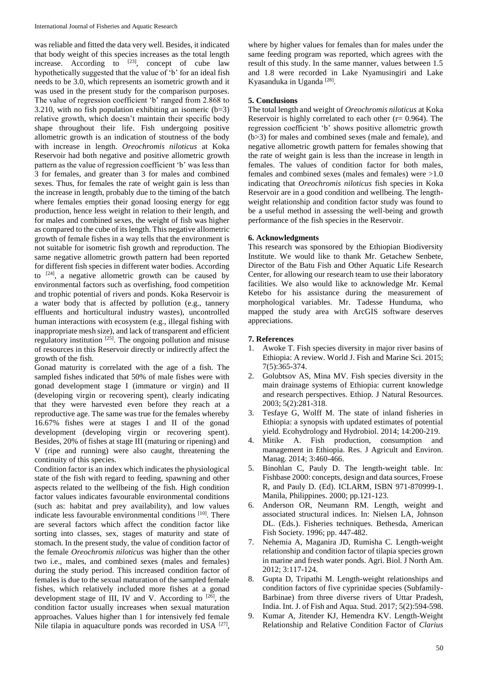was reliable and fitted the data very well. Besides, it indicated that body weight of this species increases as the total length increase. According to  $[23]$ , concept of cube law hypothetically suggested that the value of 'b' for an ideal fish needs to be 3.0, which represents an isometric growth and it was used in the present study for the comparison purposes. The value of regression coefficient 'b' ranged from 2.868 to 3.210, with no fish population exhibiting an isomeric  $(b=3)$ relative growth, which doesn't maintain their specific body shape throughout their life. Fish undergoing positive allometric growth is an indication of stoutness of the body with increase in length. *Oreochromis niloticus* at Koka Reservoir had both negative and positive allometric growth pattern as the value of regression coefficient 'b' was less than 3 for females, and greater than 3 for males and combined sexes. Thus, for females the rate of weight gain is less than the increase in length, probably due to the timing of the batch where females empties their gonad loosing energy for egg production, hence less weight in relation to their length, and for males and combined sexes, the weight of fish was higher as compared to the cube of its length. This negative allometric growth of female fishes in a way tells that the environment is not suitable for isometric fish growth and reproduction. The same negative allometric growth pattern had been reported for different fish species in different water bodies. According to  $[24]$ , a negative allometric growth can be caused by environmental factors such as overfishing, food competition and trophic potential of rivers and ponds. Koka Reservoir is a water body that is affected by pollution (e.g., tannery effluents and horticultural industry wastes), uncontrolled human interactions with ecosystem (e.g., illegal fishing with inappropriate mesh size), and lack of transparent and efficient regulatory institution <sup>[25]</sup>. The ongoing pollution and misuse of resources in this Reservoir directly or indirectly affect the growth of the fish.

Gonad maturity is correlated with the age of a fish. The sampled fishes indicated that 50% of male fishes were with gonad development stage I (immature or virgin) and II (developing virgin or recovering spent), clearly indicating that they were harvested even before they reach at a reproductive age. The same was true for the females whereby 16.67% fishes were at stages I and II of the gonad development (developing virgin or recovering spent). Besides, 20% of fishes at stage III (maturing or ripening) and V (ripe and running) were also caught, threatening the continuity of this species.

Condition factor is an index which indicates the physiological state of the fish with regard to feeding, spawning and other aspects related to the wellbeing of the fish. High condition factor values indicates favourable environmental conditions (such as: habitat and prey availability), and low values indicate less favourable environmental conditions [10]. There are several factors which affect the condition factor like sorting into classes, sex, stages of maturity and state of stomach. In the present study, the value of condition factor of the female *Oreochromis niloticus* was higher than the other two i.e., males, and combined sexes (males and females) during the study period. This increased condition factor of females is due to the sexual maturation of the sampled female fishes, which relatively included more fishes at a gonad development stage of III, IV and V. According to  $[26]$ , the condition factor usually increases when sexual maturation approaches. Values higher than 1 for intensively fed female Nile tilapia in aquaculture ponds was recorded in USA <sup>[27]</sup>,

where by higher values for females than for males under the same feeding program was reported, which agrees with the result of this study. In the same manner, values between 1.5 and 1.8 were recorded in Lake Nyamusingiri and Lake Kyasanduka in Uganda [28].

## **5. Conclusions**

The total length and weight of *Oreochromis niloticus* at Koka Reservoir is highly correlated to each other  $(r= 0.964)$ . The regression coefficient 'b' shows positive allometric growth (b>3) for males and combined sexes (male and female), and negative allometric growth pattern for females showing that the rate of weight gain is less than the increase in length in females. The values of condition factor for both males, females and combined sexes (males and females) were >1.0 indicating that *Oreochromis niloticus* fish species in Koka Reservoir are in a good condition and wellbeing. The lengthweight relationship and condition factor study was found to be a useful method in assessing the well-being and growth performance of the fish species in the Reservoir.

### **6. Acknowledgments**

This research was sponsored by the Ethiopian Biodiversity Institute. We would like to thank Mr. Getachew Senbete, Director of the Batu Fish and Other Aquatic Life Research Center, for allowing our research team to use their laboratory facilities. We also would like to acknowledge Mr. Kemal Ketebo for his assistance during the measurement of morphological variables. Mr. Tadesse Hunduma, who mapped the study area with ArcGIS software deserves appreciations.

### **7. References**

- 1. Awoke T. Fish species diversity in major river basins of Ethiopia: A review. World J. Fish and Marine Sci. 2015; 7(5):365-374.
- 2. Golubtsov AS, Mina MV. Fish species diversity in the main drainage systems of Ethiopia: current knowledge and research perspectives. Ethiop. J Natural Resources. 2003; 5(2):281-318.
- 3. Tesfaye G, Wolff M. The state of inland fisheries in Ethiopia: a synopsis with updated estimates of potential yield. Ecohydrology and Hydrobiol. 2014; 14:200-219.
- 4. Mitike A. Fish production, consumption and management in Ethiopia. Res. J Agricult and Environ. Manag. 2014; 3:460-466.
- 5. Binohlan C, Pauly D. The length-weight table. In: Fishbase 2000: concepts, design and data sources, Froese R, and Pauly D. (Ed). ICLARM, ISBN 971-870999-1. Manila, Philippines. 2000; pp.121-123.
- 6. Anderson OR, Neumann RM. Length, weight and associated structural indices. In: Nielsen LA, Johnson DL. (Eds.). Fisheries techniques. Bethesda, American Fish Society. 1996; pp. 447-482.
- 7. Nehemia A, Maganira JD, Rumisha C. Length-weight relationship and condition factor of tilapia species grown in marine and fresh water ponds. Agri. Biol. J North Am. 2012; 3:117-124.
- 8. Gupta D, Tripathi M. Length-weight relationships and condition factors of five cyprinidae species (Subfamily-Barbinae) from three diverse rivers of Uttar Pradesh, India. Int. J. of Fish and Aqua. Stud. 2017; 5(2):594-598.
- 9. Kumar A, Jitender KJ, Hemendra KV. Length-Weight Relationship and Relative Condition Factor of *Clarius*